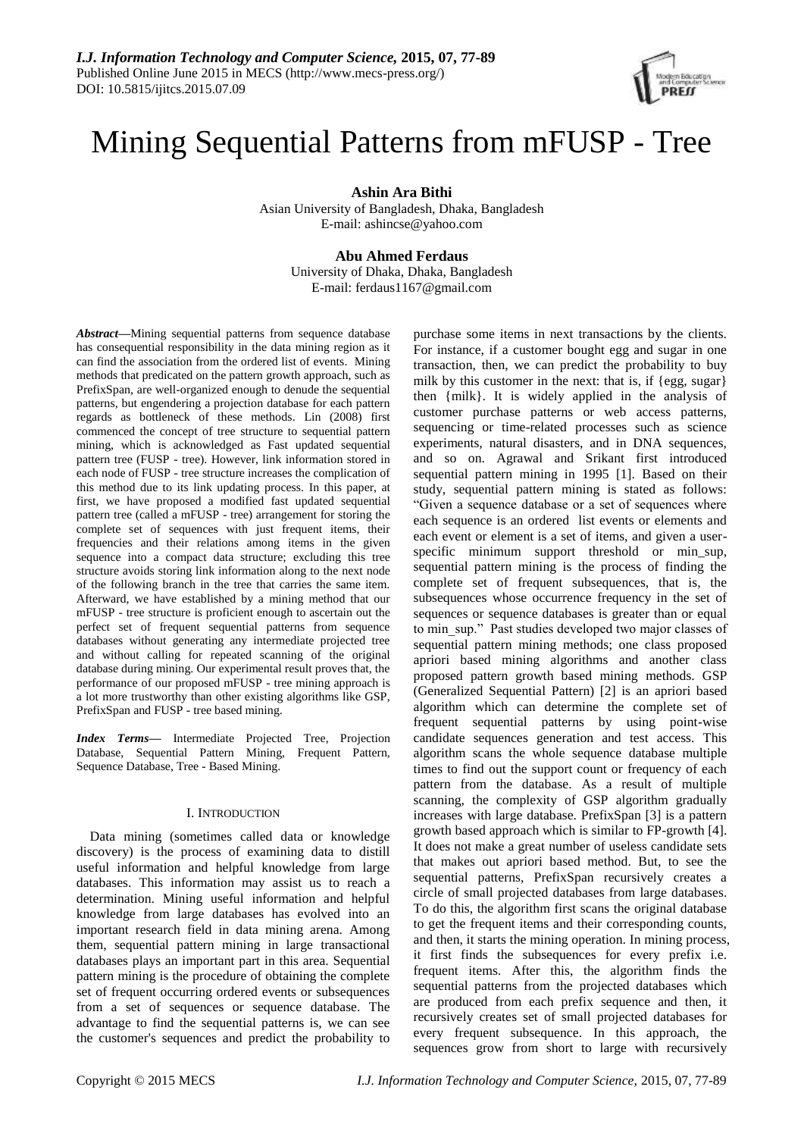

# Mining Sequential Patterns from mFUSP - Tree

**Ashin Ara Bithi**

Asian University of Bangladesh, Dhaka, Bangladesh E-mail: ashincse@yahoo.com

# **Abu Ahmed Ferdaus**

University of Dhaka, Dhaka, Bangladesh E-mail: ferdaus1167@gmail.com

*Abstract***—**Mining sequential patterns from sequence database has consequential responsibility in the data mining region as it can find the association from the ordered list of events. Mining methods that predicated on the pattern growth approach, such as PrefixSpan, are well-organized enough to denude the sequential patterns, but engendering a projection database for each pattern regards as bottleneck of these methods. Lin (2008) first commenced the concept of tree structure to sequential pattern mining, which is acknowledged as Fast updated sequential pattern tree (FUSP - tree). However, link information stored in each node of FUSP - tree structure increases the complication of this method due to its link updating process. In this paper, at first, we have proposed a modified fast updated sequential pattern tree (called a mFUSP - tree) arrangement for storing the complete set of sequences with just frequent items, their frequencies and their relations among items in the given sequence into a compact data structure; excluding this tree structure avoids storing link information along to the next node of the following branch in the tree that carries the same item. Afterward, we have established by a mining method that our mFUSP - tree structure is proficient enough to ascertain out the perfect set of frequent sequential patterns from sequence databases without generating any intermediate projected tree and without calling for repeated scanning of the original database during mining. Our experimental result proves that, the performance of our proposed mFUSP - tree mining approach is a lot more trustworthy than other existing algorithms like GSP, PrefixSpan and FUSP - tree based mining.

*Index Terms***—** Intermediate Projected Tree, Projection Database, Sequential Pattern Mining, Frequent Pattern, Sequence Database, Tree - Based Mining.

# I. INTRODUCTION

Data mining (sometimes called data or knowledge discovery) is the process of examining data to distill useful information and helpful knowledge from large databases. This information may assist us to reach a determination. Mining useful information and helpful knowledge from large databases has evolved into an important research field in data mining arena. Among them, sequential pattern mining in large transactional databases plays an important part in this area. Sequential pattern mining is the procedure of obtaining the complete set of frequent occurring ordered events or subsequences from a set of sequences or sequence database. The advantage to find the sequential patterns is, we can see the customer's sequences and predict the probability to

purchase some items in next transactions by the clients. For instance, if a customer bought egg and sugar in one transaction, then, we can predict the probability to buy milk by this customer in the next: that is, if  ${egg, sugar}$ then {milk}. It is widely applied in the analysis of customer purchase patterns or web access patterns, sequencing or time-related processes such as science experiments, natural disasters, and in DNA sequences, and so on. Agrawal and Srikant first introduced sequential pattern mining in 1995 [1]. Based on their study, sequential pattern mining is stated as follows: "Given a sequence database or a set of sequences where each sequence is an ordered list events or elements and each event or element is a set of items, and given a userspecific minimum support threshold or min\_sup, sequential pattern mining is the process of finding the complete set of frequent subsequences, that is, the subsequences whose occurrence frequency in the set of sequences or sequence databases is greater than or equal to min\_sup." Past studies developed two major classes of sequential pattern mining methods; one class proposed apriori based mining algorithms and another class proposed pattern growth based mining methods. GSP (Generalized Sequential Pattern) [2] is an apriori based algorithm which can determine the complete set of frequent sequential patterns by using point-wise candidate sequences generation and test access. This algorithm scans the whole sequence database multiple times to find out the support count or frequency of each pattern from the database. As a result of multiple scanning, the complexity of GSP algorithm gradually increases with large database. PrefixSpan [3] is a pattern growth based approach which is similar to FP-growth [4]. It does not make a great number of useless candidate sets that makes out apriori based method. But, to see the sequential patterns, PrefixSpan recursively creates a circle of small projected databases from large databases. To do this, the algorithm first scans the original database to get the frequent items and their corresponding counts, and then, it starts the mining operation. In mining process, it first finds the subsequences for every prefix i.e. frequent items. After this, the algorithm finds the sequential patterns from the projected databases which are produced from each prefix sequence and then, it recursively creates set of small projected databases for every frequent subsequence. In this approach, the sequences grow from short to large with recursively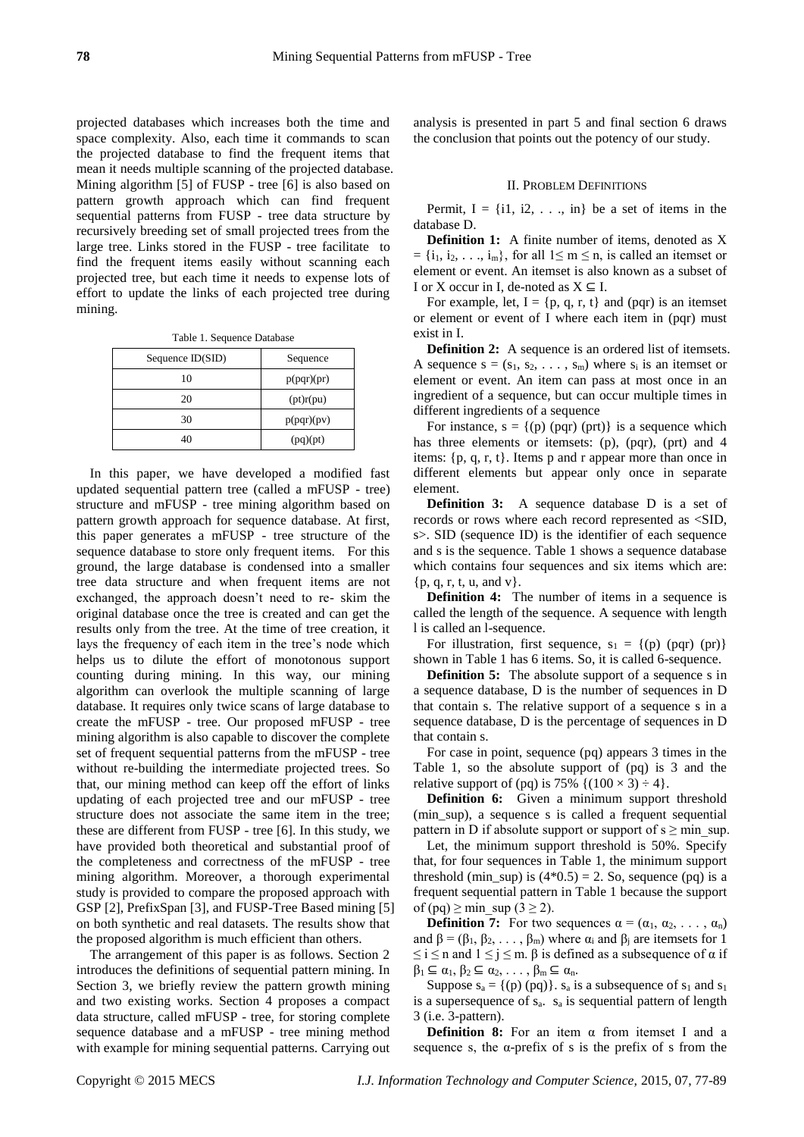projected databases which increases both the time and space complexity. Also, each time it commands to scan the projected database to find the frequent items that mean it needs multiple scanning of the projected database. Mining algorithm [5] of FUSP - tree [6] is also based on pattern growth approach which can find frequent sequential patterns from FUSP - tree data structure by recursively breeding set of small projected trees from the large tree. Links stored in the FUSP - tree facilitate to find the frequent items easily without scanning each projected tree, but each time it needs to expense lots of effort to update the links of each projected tree during mining.

Table 1. Sequence Database

| Sequence $ID(SID)$ | Sequence   |
|--------------------|------------|
| 10                 | p(pqr)(pr) |
| 20                 | (pt)r(pu)  |
| 30                 | p(pqr)(pv) |
| 40                 | (pq)(pt)   |

In this paper, we have developed a modified fast updated sequential pattern tree (called a mFUSP - tree) structure and mFUSP - tree mining algorithm based on pattern growth approach for sequence database. At first, this paper generates a mFUSP - tree structure of the sequence database to store only frequent items. For this ground, the large database is condensed into a smaller tree data structure and when frequent items are not exchanged, the approach doesn't need to re- skim the original database once the tree is created and can get the results only from the tree. At the time of tree creation, it lays the frequency of each item in the tree's node which helps us to dilute the effort of monotonous support counting during mining. In this way, our mining algorithm can overlook the multiple scanning of large database. It requires only twice scans of large database to create the mFUSP - tree. Our proposed mFUSP - tree mining algorithm is also capable to discover the complete set of frequent sequential patterns from the mFUSP - tree without re-building the intermediate projected trees. So that, our mining method can keep off the effort of links updating of each projected tree and our mFUSP - tree structure does not associate the same item in the tree; these are different from FUSP - tree [6]. In this study, we have provided both theoretical and substantial proof of the completeness and correctness of the mFUSP - tree mining algorithm. Moreover, a thorough experimental study is provided to compare the proposed approach with GSP [2], PrefixSpan [3], and FUSP-Tree Based mining [5] on both synthetic and real datasets. The results show that the proposed algorithm is much efficient than others.

The arrangement of this paper is as follows. Section 2 introduces the definitions of sequential pattern mining. In Section 3, we briefly review the pattern growth mining and two existing works. Section 4 proposes a compact data structure, called mFUSP - tree, for storing complete sequence database and a mFUSP - tree mining method with example for mining sequential patterns. Carrying out analysis is presented in part 5 and final section 6 draws the conclusion that points out the potency of our study.

#### II. PROBLEM DEFINITIONS

Permit,  $I = \{i1, i2, \ldots, in\}$  be a set of items in the database D.

**Definition 1:** A finite number of items, denoted as X  $= \{i_1, i_2, \ldots, i_m\}$ , for all  $1 \le m \le n$ , is called an itemset or element or event. An itemset is also known as a subset of I or X occur in I, de-noted as  $X \subseteq I$ .

For example, let,  $I = \{p, q, r, t\}$  and (pqr) is an itemset or element or event of I where each item in (pqr) must exist in I.

**Definition 2:** A sequence is an ordered list of itemsets. A sequence  $s = (s_1, s_2, \ldots, s_m)$  where  $s_i$  is an itemset or element or event. An item can pass at most once in an ingredient of a sequence, but can occur multiple times in different ingredients of a sequence

For instance,  $s = \{(p) (pqr) (prt)\}\)$  is a sequence which has three elements or itemsets: (p), (pqr), (prt) and 4 items:  $\{p, q, r, t\}$ . Items p and r appear more than once in different elements but appear only once in separate element.

**Definition 3:** A sequence database D is a set of records or rows where each record represented as <SID, s>. SID (sequence ID) is the identifier of each sequence and s is the sequence. Table 1 shows a sequence database which contains four sequences and six items which are:  $\{p, q, r, t, u, and v\}.$ 

**Definition 4:** The number of items in a sequence is called the length of the sequence. A sequence with length l is called an l-sequence.

For illustration, first sequence,  $s_1 = \{(p) (pqr) (pr)\}\$ shown in Table 1 has 6 items. So, it is called 6-sequence.

**Definition 5:** The absolute support of a sequence s in a sequence database, D is the number of sequences in D that contain s. The relative support of a sequence s in a sequence database, D is the percentage of sequences in D that contain s.

For case in point, sequence (pq) appears 3 times in the Table 1, so the absolute support of (pq) is 3 and the relative support of (pq) is 75%  $\{(100 \times 3) \div 4\}.$ 

**Definition 6:** Given a minimum support threshold (min sup), a sequence s is called a frequent sequential pattern in D if absolute support or support of  $s \geq min$  sup.

Let, the minimum support threshold is 50%. Specify that, for four sequences in Table 1, the minimum support threshold (min\_sup) is  $(4*0.5) = 2$ . So, sequence (pq) is a frequent sequential pattern in Table 1 because the support of (pq)  $\ge$  min\_sup (3  $\ge$  2).

**Definition 7:** For two sequences  $\alpha = (\alpha_1, \alpha_2, \dots, \alpha_n)$ and  $\beta = (\beta_1, \beta_2, \ldots, \beta_m)$  where  $\alpha_i$  and  $\beta_i$  are itemsets for 1  $\leq i \leq n$  and  $1 \leq j \leq m$ .  $\beta$  is defined as a subsequence of  $\alpha$  if  $\beta_1 \subseteq \alpha_1, \beta_2 \subseteq \alpha_2, \ldots, \beta_m \subseteq \alpha_n$ .

Suppose  $s_a = \{(p) (pq)\}\$ .  $s_a$  is a subsequence of  $s_1$  and  $s_1$ is a supersequence of  $s_a$ .  $s_a$  is sequential pattern of length 3 (i.e. 3-pattern).

**Definition 8:** For an item α from itemset I and a sequence s, the  $\alpha$ -prefix of s is the prefix of s from the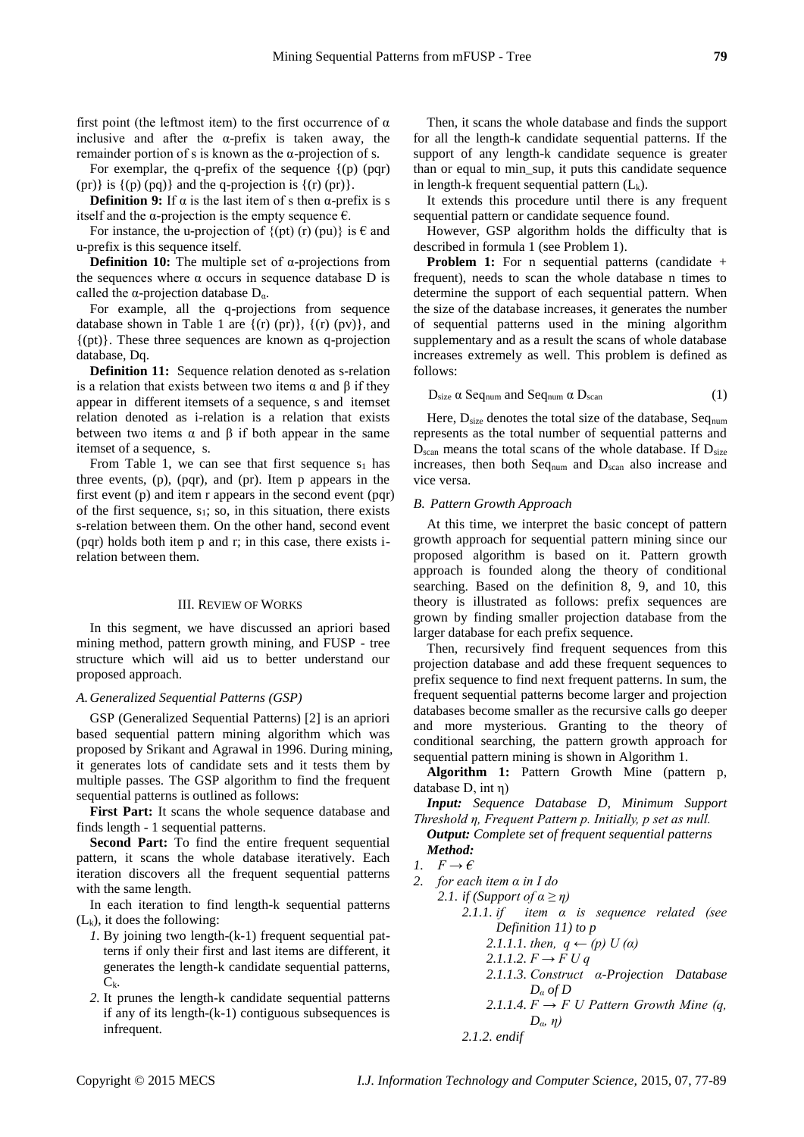first point (the leftmost item) to the first occurrence of  $\alpha$ inclusive and after the  $\alpha$ -prefix is taken away, the remainder portion of s is known as the α-projection of s.

For exemplar, the q-prefix of the sequence  $\{(p)$  (pqr) (pr)} is  $\{(p)(pq)\}$  and the q-projection is  $\{(r)(pr)\}.$ 

**Definition 9:** If  $\alpha$  is the last item of s then  $\alpha$ -prefix is s itself and the  $\alpha$ -projection is the empty sequence  $\epsilon$ .

For instance, the u-projection of  $\{(pt) (r) (pu)\}\$ is  $\epsilon$  and u-prefix is this sequence itself.

**Definition 10:** The multiple set of α-projections from the sequences where  $\alpha$  occurs in sequence database D is called the  $\alpha$ -projection database  $D_{\alpha}$ .

For example, all the q-projections from sequence database shown in Table 1 are  $\{(r) (pr)\}, \{(r) (pv)\},$  and {(pt)}. These three sequences are known as q-projection database, Dq.

**Definition 11:** Sequence relation denoted as s-relation is a relation that exists between two items α and β if they appear in different itemsets of a sequence, s and itemset relation denoted as i-relation is a relation that exists between two items  $\alpha$  and  $\beta$  if both appear in the same itemset of a sequence, s.

From Table 1, we can see that first sequence  $s_1$  has three events, (p), (pqr), and (pr). Item p appears in the first event (p) and item r appears in the second event (pqr) of the first sequence,  $s_1$ ; so, in this situation, there exists s-relation between them. On the other hand, second event (pqr) holds both item p and r; in this case, there exists irelation between them.

## III. REVIEW OF WORKS

In this segment, we have discussed an apriori based mining method, pattern growth mining, and FUSP - tree structure which will aid us to better understand our proposed approach.

#### *A.Generalized Sequential Patterns (GSP)*

GSP (Generalized Sequential Patterns) [2] is an apriori based sequential pattern mining algorithm which was proposed by Srikant and Agrawal in 1996. During mining, it generates lots of candidate sets and it tests them by multiple passes. The GSP algorithm to find the frequent sequential patterns is outlined as follows:

**First Part:** It scans the whole sequence database and finds length - 1 sequential patterns.

**Second Part:** To find the entire frequent sequential pattern, it scans the whole database iteratively. Each iteration discovers all the frequent sequential patterns with the same length.

In each iteration to find length-k sequential patterns  $(L_k)$ , it does the following:

- *1.* By joining two length-(k-1) frequent sequential patterns if only their first and last items are different, it generates the length-k candidate sequential patterns,  $C_{k}$ .
- *2.* It prunes the length-k candidate sequential patterns if any of its length-(k-1) contiguous subsequences is infrequent.

Then, it scans the whole database and finds the support for all the length-k candidate sequential patterns. If the support of any length-k candidate sequence is greater than or equal to min\_sup, it puts this candidate sequence in length-k frequent sequential pattern  $(L_k)$ .

It extends this procedure until there is any frequent sequential pattern or candidate sequence found.

However, GSP algorithm holds the difficulty that is described in formula 1 (see Problem 1).

**Problem 1:** For n sequential patterns (candidate + frequent), needs to scan the whole database n times to determine the support of each sequential pattern. When the size of the database increases, it generates the number of sequential patterns used in the mining algorithm supplementary and as a result the scans of whole database increases extremely as well. This problem is defined as follows:

$$
D_{size} \alpha \text{Seq}_{num} \text{ and Seq}_{num} \alpha \text{D}_{scan} \tag{1}
$$

Here,  $D_{size}$  denotes the total size of the database, Seqnum represents as the total number of sequential patterns and  $D_{scan}$  means the total scans of the whole database. If  $D_{size}$ increases, then both Seq<sub>num</sub> and D<sub>scan</sub> also increase and vice versa.

## *B. Pattern Growth Approach*

At this time, we interpret the basic concept of pattern growth approach for sequential pattern mining since our proposed algorithm is based on it. Pattern growth approach is founded along the theory of conditional searching. Based on the definition 8, 9, and 10, this theory is illustrated as follows: prefix sequences are grown by finding smaller projection database from the larger database for each prefix sequence.

Then, recursively find frequent sequences from this projection database and add these frequent sequences to prefix sequence to find next frequent patterns. In sum, the frequent sequential patterns become larger and projection databases become smaller as the recursive calls go deeper and more mysterious. Granting to the theory of conditional searching, the pattern growth approach for sequential pattern mining is shown in Algorithm 1.

**Algorithm 1:** Pattern Growth Mine (pattern p, database D, int η)

*Input: Sequence Database D, Minimum Support Threshold η, Frequent Pattern p. Initially, p set as null.*

*Output: Complete set of frequent sequential patterns Method:*

1.  $F \rightarrow \epsilon$ 

*2. for each item α in I do*

*2.1. if (Support of*  $\alpha \geq \eta$ *) 2.1.1. if item α is sequence related (see Definition 11) to p*  2.1.1.1. *then,*  $q \leftarrow (p) U(a)$ *2.1.1.2.*  $F$  →  $F$   $U$   $q$ *2.1.1.3. Construct α-Projection Database D<sup>α</sup> of D* 2.1.1.4.  $F \rightarrow F U$  Pattern Growth Mine (q, *Dα, η) 2.1.2. endif*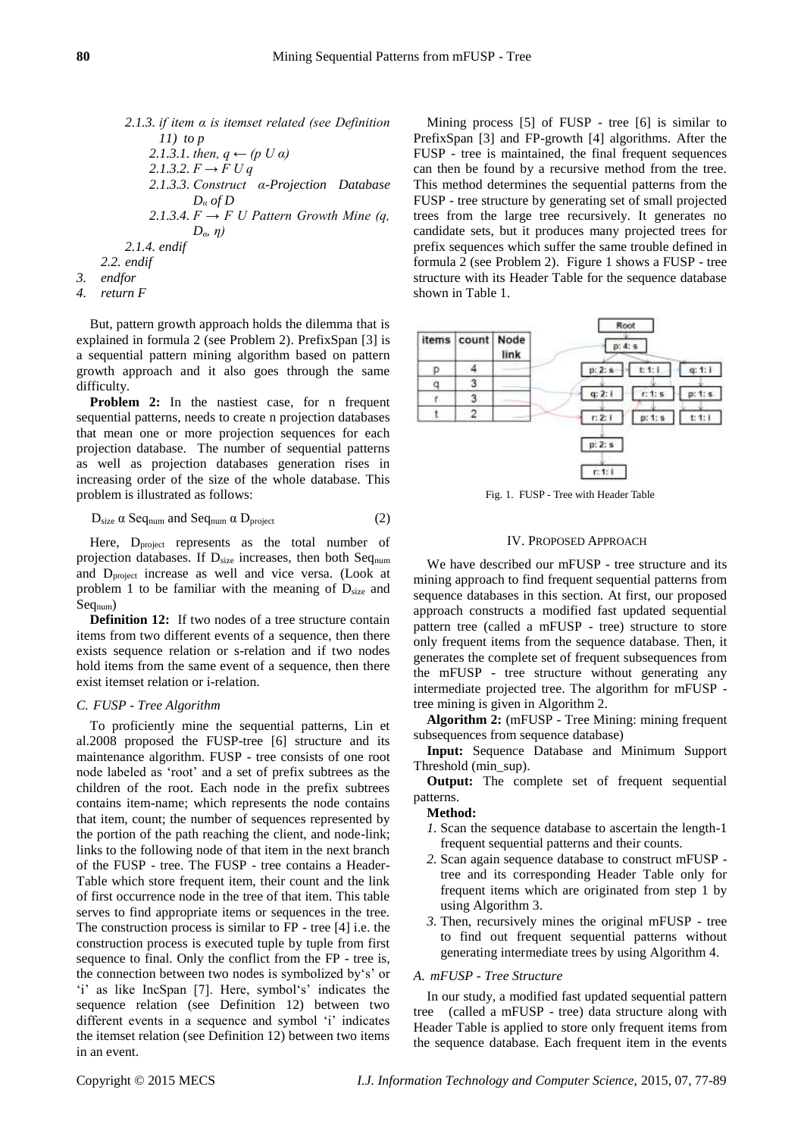*2.1.3. if item α is itemset related (see Definition 11) to p* 2.1.3.1. *then,*  $q \leftarrow (p \, U \, a)$ *2.1.3.2. F → F U q 2.1.3.3. Construct α-Projection Database D<sup>α</sup> of D* 2.1.3.4.  $F \rightarrow F U$  Pattern Growth Mine (q, *Dα, η) 2.1.4. endif 2.2. endif 3. endfor*

*4. return F*

But, pattern growth approach holds the dilemma that is explained in formula 2 (see Problem 2). PrefixSpan [3] is a sequential pattern mining algorithm based on pattern growth approach and it also goes through the same difficulty.

**Problem 2:** In the nastiest case, for n frequent sequential patterns, needs to create n projection databases that mean one or more projection sequences for each projection database. The number of sequential patterns as well as projection databases generation rises in increasing order of the size of the whole database. This problem is illustrated as follows:

$$
D_{size} \alpha \text{Seq}_{num} \text{ and } Seq_{num} \alpha \text{ } D_{project} \tag{2}
$$

Here,  $D_{project}$  represents as the total number of projection databases. If  $D_{size}$  increases, then both Seqnum and Dproject increase as well and vice versa. (Look at problem 1 to be familiar with the meaning of  $D_{size}$  and Seq<sub>num</sub>)

**Definition 12:** If two nodes of a tree structure contain items from two different events of a sequence, then there exists sequence relation or s-relation and if two nodes hold items from the same event of a sequence, then there exist itemset relation or i-relation.

#### *C. FUSP - Tree Algorithm*

To proficiently mine the sequential patterns, Lin et al.2008 proposed the FUSP-tree [6] structure and its maintenance algorithm. FUSP - tree consists of one root node labeled as 'root' and a set of prefix subtrees as the children of the root. Each node in the prefix subtrees contains item-name; which represents the node contains that item, count; the number of sequences represented by the portion of the path reaching the client, and node-link; links to the following node of that item in the next branch of the FUSP - tree. The FUSP - tree contains a Header-Table which store frequent item, their count and the link of first occurrence node in the tree of that item. This table serves to find appropriate items or sequences in the tree. The construction process is similar to FP - tree [4] i.e. the construction process is executed tuple by tuple from first sequence to final. Only the conflict from the FP - tree is, the connection between two nodes is symbolized by's' or 'i' as like IncSpan [7]. Here, symbol's' indicates the sequence relation (see Definition 12) between two different events in a sequence and symbol 'i' indicates the itemset relation (see Definition 12) between two items in an event.

Mining process [5] of FUSP - tree [6] is similar to PrefixSpan [3] and FP-growth [4] algorithms. After the FUSP - tree is maintained, the final frequent sequences can then be found by a recursive method from the tree. This method determines the sequential patterns from the FUSP - tree structure by generating set of small projected trees from the large tree recursively. It generates no candidate sets, but it produces many projected trees for prefix sequences which suffer the same trouble defined in formula 2 (see Problem 2). Figure 1 shows a FUSP - tree structure with its Header Table for the sequence database shown in Table 1.



Fig. 1. FUSP - Tree with Header Table

## IV. PROPOSED APPROACH

We have described our mFUSP - tree structure and its mining approach to find frequent sequential patterns from sequence databases in this section. At first, our proposed approach constructs a modified fast updated sequential pattern tree (called a mFUSP - tree) structure to store only frequent items from the sequence database. Then, it generates the complete set of frequent subsequences from the mFUSP - tree structure without generating any intermediate projected tree. The algorithm for mFUSP tree mining is given in Algorithm 2.

**Algorithm 2:** (mFUSP - Tree Mining: mining frequent subsequences from sequence database)

**Input:** Sequence Database and Minimum Support Threshold (min\_sup).

**Output:** The complete set of frequent sequential patterns.

## **Method:**

- *1.* Scan the sequence database to ascertain the length-1 frequent sequential patterns and their counts.
- *2.* Scan again sequence database to construct mFUSP tree and its corresponding Header Table only for frequent items which are originated from step 1 by using Algorithm 3.
- *3.* Then, recursively mines the original mFUSP tree to find out frequent sequential patterns without generating intermediate trees by using Algorithm 4.

## *A. mFUSP - Tree Structure*

In our study, a modified fast updated sequential pattern tree (called a mFUSP - tree) data structure along with Header Table is applied to store only frequent items from the sequence database. Each frequent item in the events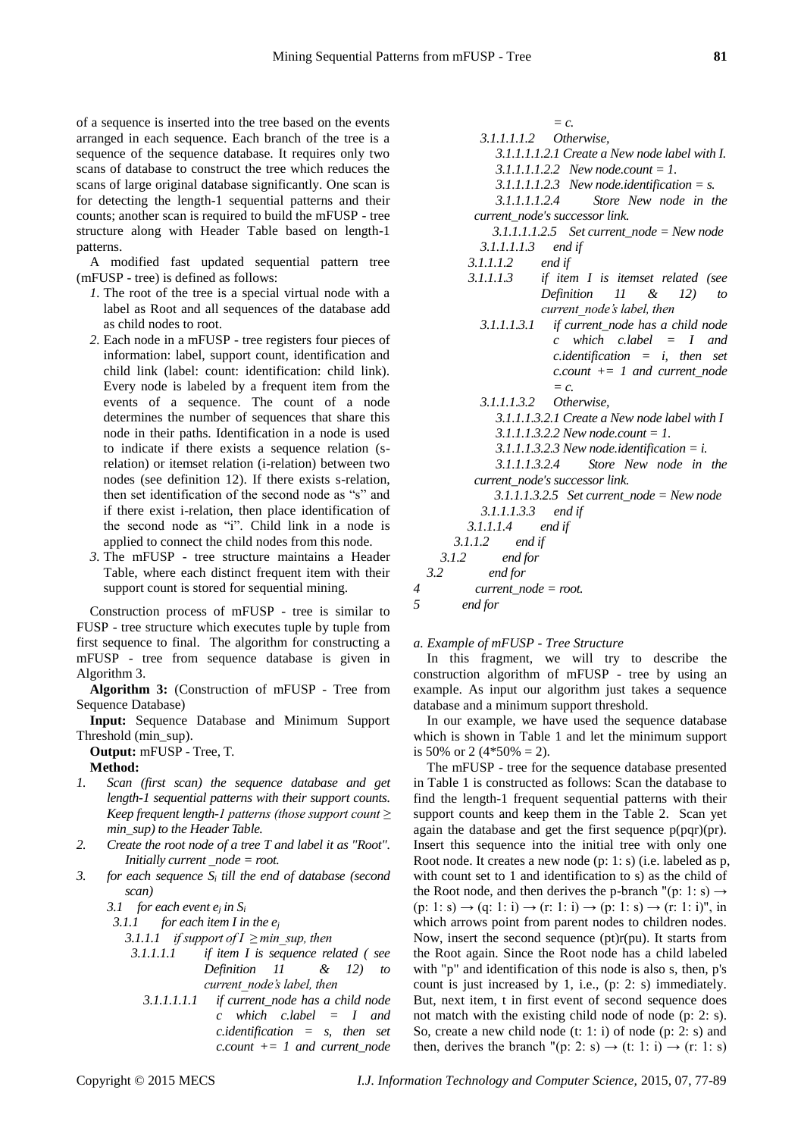of a sequence is inserted into the tree based on the events arranged in each sequence. Each branch of the tree is a sequence of the sequence database. It requires only two scans of database to construct the tree which reduces the scans of large original database significantly. One scan is for detecting the length-1 sequential patterns and their counts; another scan is required to build the mFUSP - tree structure along with Header Table based on length-1 patterns.

A modified fast updated sequential pattern tree (mFUSP - tree) is defined as follows:

- *1.* The root of the tree is a special virtual node with a label as Root and all sequences of the database add as child nodes to root.
- *2.* Each node in a mFUSP tree registers four pieces of information: label, support count, identification and child link (label: count: identification: child link). Every node is labeled by a frequent item from the events of a sequence. The count of a node determines the number of sequences that share this node in their paths. Identification in a node is used to indicate if there exists a sequence relation (srelation) or itemset relation (i-relation) between two nodes (see definition 12). If there exists s-relation, then set identification of the second node as "s" and if there exist i-relation, then place identification of the second node as "i". Child link in a node is applied to connect the child nodes from this node.
- *3.* The mFUSP tree structure maintains a Header Table, where each distinct frequent item with their support count is stored for sequential mining.

Construction process of mFUSP - tree is similar to FUSP - tree structure which executes tuple by tuple from first sequence to final. The algorithm for constructing a mFUSP - tree from sequence database is given in Algorithm 3.

**Algorithm 3:** (Construction of mFUSP - Tree from Sequence Database)

**Input:** Sequence Database and Minimum Support Threshold (min\_sup).

**Output:** mFUSP - Tree, T.

# **Method:**

- *1. Scan (first scan) the sequence database and get length-1 sequential patterns with their support counts. Keep frequent length-1 patterns (those support count ≥ min\_sup) to the Header Table.*
- *2. Create the root node of a tree T and label it as "Root". Initially current \_node = root.*
- *3. for each sequence S<sup>i</sup> till the end of database (second scan)*

3.1 *for each event*  $e_j$  *in S<sub><i>i*</sub></sup> 3.1.1 *for each item I in for each item I in the e<sub>j</sub>* 

*3.1.1.1 if support of I ≥ min\_sup, then*

- *3.1.1.1.1 if item I is sequence related ( see Definition 11 & 12) to current\_node's label, then* 
	- *3.1.1.1.1.1 if current\_node has a child node c which c.label = I and c.identification = s, then set c.count += 1 and current\_node*

*3.1.1.1.1.2 Otherwise, 3.1.1.1.1.2.1 Create a New node label with I. 3.1.1.1.1.2.2 New node.count = 1. 3.1.1.1.1.2.3 New node.identification = s. 3.1.1.1.1.2.4 Store New node in the current\_node's successor link. 3.1.1.1.1.2.5 Set current\_node = New node 3.1.1.1.1.3 end if 3.1.1.1.2 end if 3.1.1.1.3 if item I is itemset related (see Definition 11 & 12) to current\_node's label, then 3.1.1.1.3.1 if current\_node has a child node c which c.label = I and c.identification = i, then set c.count += 1 and current\_node = c. 3.1.1.1.3.2 Otherwise, 3.1.1.1.3.2.1 Create a New node label with I 3.1.1.1.3.2.2 New node.count = 1. 3.1.1.1.3.2.3 New node.identification = i. 3.1.1.1.3.2.4 Store New node in the current\_node's successor link. 3.1.1.1.3.2.5 Set current\_node = New node 3.1.1.1.3.3 end if 3.1.1.1.4 end if 3.1.1.2 end if 3.1.2 end for 3.2 end for 4 current\_node = root.*

*= c.*

*5 end for*

*a. Example of mFUSP - Tree Structure*

In this fragment, we will try to describe the construction algorithm of mFUSP - tree by using an example. As input our algorithm just takes a sequence database and a minimum support threshold.

In our example, we have used the sequence database which is shown in Table 1 and let the minimum support is 50% or 2 (4\*50% = 2).

The mFUSP - tree for the sequence database presented in Table 1 is constructed as follows: Scan the database to find the length-1 frequent sequential patterns with their support counts and keep them in the Table 2. Scan yet again the database and get the first sequence p(pqr)(pr). Insert this sequence into the initial tree with only one Root node. It creates a new node (p: 1: s) (i.e. labeled as p, with count set to 1 and identification to s) as the child of the Root node, and then derives the p-branch "(p: 1: s)  $\rightarrow$  $(p: 1: s) \rightarrow (q: 1: i) \rightarrow (r: 1: i) \rightarrow (p: 1: s) \rightarrow (r: 1: i)$ ", in which arrows point from parent nodes to children nodes. Now, insert the second sequence (pt)r(pu). It starts from the Root again. Since the Root node has a child labeled with "p" and identification of this node is also s, then, p's count is just increased by 1, i.e., (p: 2: s) immediately. But, next item, t in first event of second sequence does not match with the existing child node of node (p: 2: s). So, create a new child node (t: 1: i) of node (p: 2: s) and then, derives the branch "(p: 2: s)  $\rightarrow$  (t: 1: i)  $\rightarrow$  (r: 1: s)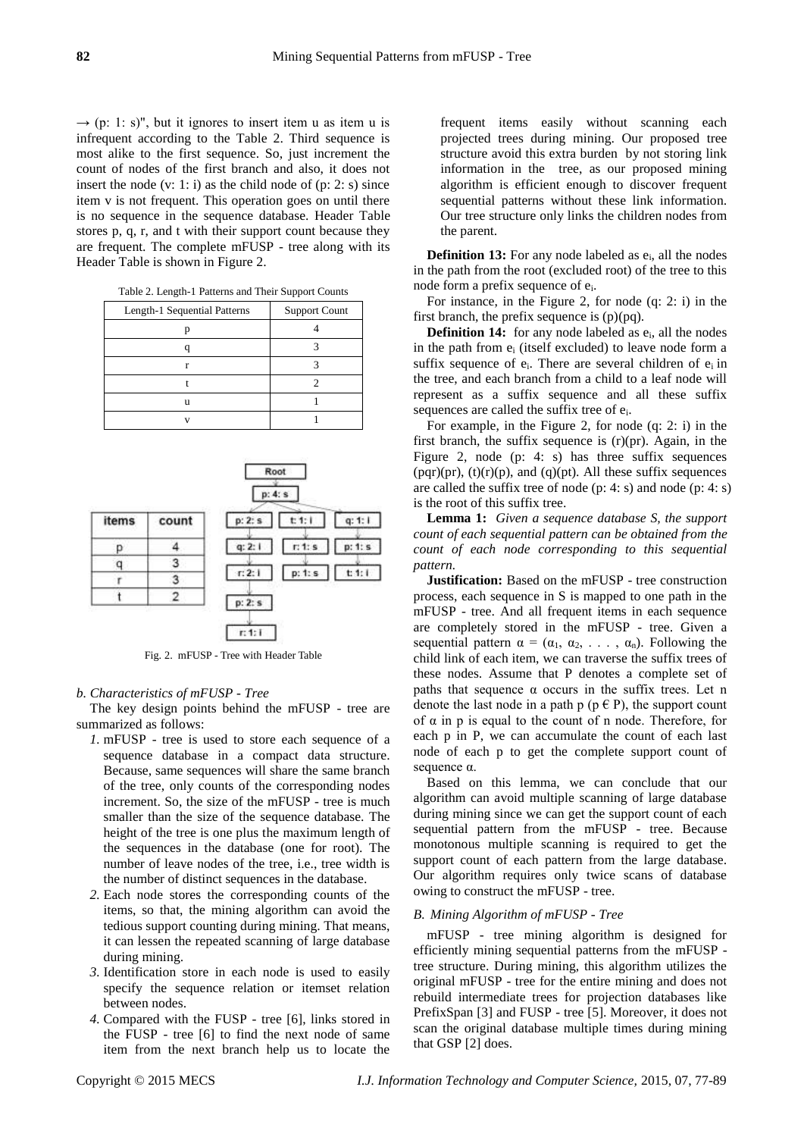$\rightarrow$  (p: 1: s)", but it ignores to insert item u as item u is infrequent according to the Table 2. Third sequence is most alike to the first sequence. So, just increment the count of nodes of the first branch and also, it does not insert the node  $(v: 1: i)$  as the child node of  $(p: 2: s)$  since item v is not frequent. This operation goes on until there is no sequence in the sequence database. Header Table stores p, q, r, and t with their support count because they are frequent. The complete mFUSP - tree along with its Header Table is shown in Figure 2.

|  |  | Table 2. Length-1 Patterns and Their Support Counts |
|--|--|-----------------------------------------------------|
|--|--|-----------------------------------------------------|

| Length-1 Sequential Patterns | <b>Support Count</b> |  |  |
|------------------------------|----------------------|--|--|
|                              |                      |  |  |
|                              |                      |  |  |
|                              |                      |  |  |
|                              |                      |  |  |
| 11                           |                      |  |  |
|                              |                      |  |  |



Fig. 2. mFUSP - Tree with Header Table

#### *b. Characteristics of mFUSP - Tree*

The key design points behind the mFUSP - tree are summarized as follows:

- *1.* mFUSP tree is used to store each sequence of a sequence database in a compact data structure. Because, same sequences will share the same branch of the tree, only counts of the corresponding nodes increment. So, the size of the mFUSP - tree is much smaller than the size of the sequence database. The height of the tree is one plus the maximum length of the sequences in the database (one for root). The number of leave nodes of the tree, i.e., tree width is the number of distinct sequences in the database.
- *2.* Each node stores the corresponding counts of the items, so that, the mining algorithm can avoid the tedious support counting during mining. That means, it can lessen the repeated scanning of large database during mining.
- *3.* Identification store in each node is used to easily specify the sequence relation or itemset relation between nodes.
- *4.* Compared with the FUSP tree [6], links stored in the FUSP - tree [6] to find the next node of same item from the next branch help us to locate the

frequent items easily without scanning each projected trees during mining. Our proposed tree structure avoid this extra burden by not storing link information in the tree, as our proposed mining algorithm is efficient enough to discover frequent sequential patterns without these link information. Our tree structure only links the children nodes from the parent.

**Definition 13:** For any node labeled as  $e_i$ , all the nodes in the path from the root (excluded root) of the tree to this node form a prefix sequence of ei.

For instance, in the Figure 2, for node (q: 2: i) in the first branch, the prefix sequence is (p)(pq).

**Definition 14:** for any node labeled as  $e_i$ , all the nodes in the path from  $e_i$  (itself excluded) to leave node form a suffix sequence of  $e_i$ . There are several children of  $e_i$  in the tree, and each branch from a child to a leaf node will represent as a suffix sequence and all these suffix sequences are called the suffix tree of ei.

For example, in the Figure 2, for node (q: 2: i) in the first branch, the suffix sequence is  $(r)(pr)$ . Again, in the Figure 2, node (p: 4: s) has three suffix sequences (pqr)(pr),  $(t)(r)(p)$ , and  $(q)(pt)$ . All these suffix sequences are called the suffix tree of node (p: 4: s) and node (p: 4: s) is the root of this suffix tree.

**Lemma 1:** *Given a sequence database S, the support count of each sequential pattern can be obtained from the count of each node corresponding to this sequential pattern.*

**Justification:** Based on the mFUSP - tree construction process, each sequence in S is mapped to one path in the mFUSP - tree. And all frequent items in each sequence are completely stored in the mFUSP - tree. Given a sequential pattern  $\alpha = (\alpha_1, \alpha_2, \ldots, \alpha_n)$ . Following the child link of each item, we can traverse the suffix trees of these nodes. Assume that P denotes a complete set of paths that sequence  $\alpha$  occurs in the suffix trees. Let n denote the last node in a path p ( $p \in P$ ), the support count of  $\alpha$  in p is equal to the count of n node. Therefore, for each p in P, we can accumulate the count of each last node of each p to get the complete support count of sequence α.

Based on this lemma, we can conclude that our algorithm can avoid multiple scanning of large database during mining since we can get the support count of each sequential pattern from the mFUSP - tree. Because monotonous multiple scanning is required to get the support count of each pattern from the large database. Our algorithm requires only twice scans of database owing to construct the mFUSP - tree.

## *B. Mining Algorithm of mFUSP - Tree*

mFUSP - tree mining algorithm is designed for efficiently mining sequential patterns from the mFUSP tree structure. During mining, this algorithm utilizes the original mFUSP - tree for the entire mining and does not rebuild intermediate trees for projection databases like PrefixSpan [3] and FUSP - tree [5]. Moreover, it does not scan the original database multiple times during mining that GSP [2] does.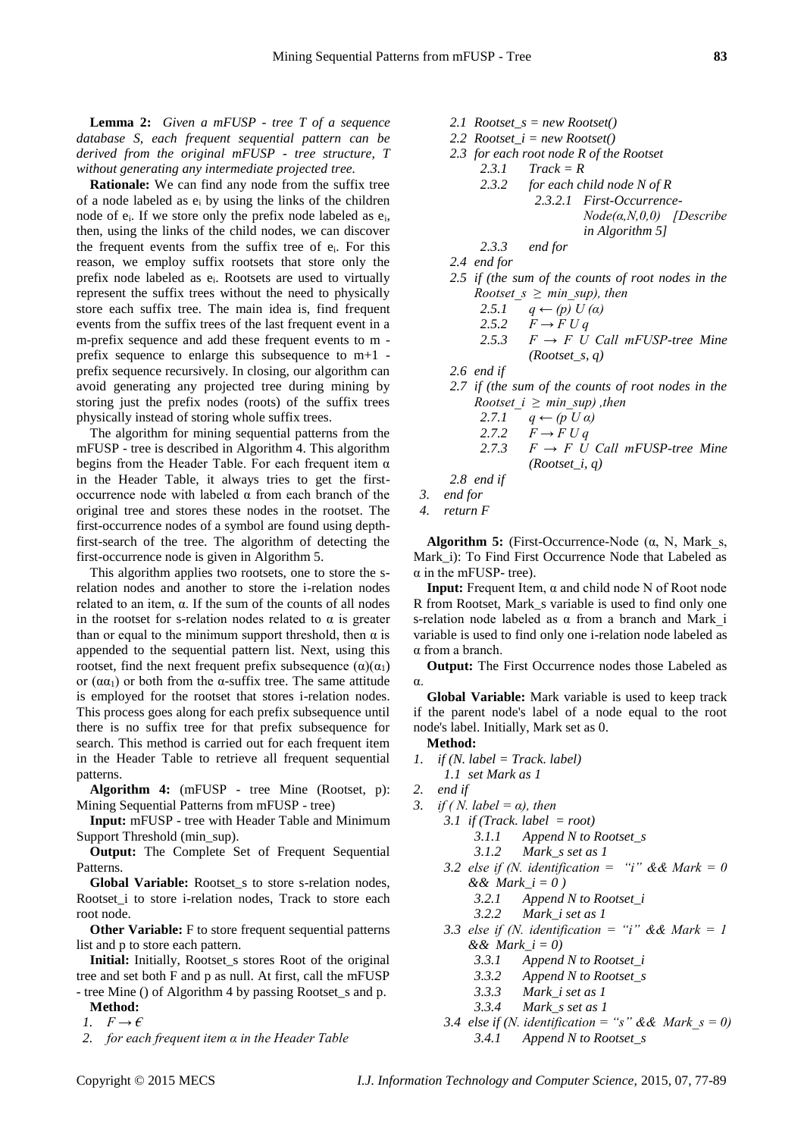**Lemma 2:** *Given a mFUSP - tree T of a sequence database S, each frequent sequential pattern can be derived from the original mFUSP - tree structure, T without generating any intermediate projected tree.*

**Rationale:** We can find any node from the suffix tree of a node labeled as  $e_i$  by using the links of the children node of ei. If we store only the prefix node labeled as ei, then, using the links of the child nodes, we can discover the frequent events from the suffix tree of  $e_i$ . For this reason, we employ suffix rootsets that store only the prefix node labeled as ei. Rootsets are used to virtually represent the suffix trees without the need to physically store each suffix tree. The main idea is, find frequent events from the suffix trees of the last frequent event in a m-prefix sequence and add these frequent events to m prefix sequence to enlarge this subsequence to m+1 prefix sequence recursively. In closing, our algorithm can avoid generating any projected tree during mining by storing just the prefix nodes (roots) of the suffix trees physically instead of storing whole suffix trees.

The algorithm for mining sequential patterns from the mFUSP - tree is described in Algorithm 4. This algorithm begins from the Header Table. For each frequent item  $\alpha$ in the Header Table, it always tries to get the firstoccurrence node with labeled α from each branch of the original tree and stores these nodes in the rootset. The first-occurrence nodes of a symbol are found using depthfirst-search of the tree. The algorithm of detecting the first-occurrence node is given in Algorithm 5.

This algorithm applies two rootsets, one to store the srelation nodes and another to store the i-relation nodes related to an item, α. If the sum of the counts of all nodes in the rootset for s-relation nodes related to  $\alpha$  is greater than or equal to the minimum support threshold, then  $α$  is appended to the sequential pattern list. Next, using this rootset, find the next frequent prefix subsequence  $(\alpha)(\alpha_1)$ or  $(\alpha \alpha_1)$  or both from the  $\alpha$ -suffix tree. The same attitude is employed for the rootset that stores i-relation nodes. This process goes along for each prefix subsequence until there is no suffix tree for that prefix subsequence for search. This method is carried out for each frequent item in the Header Table to retrieve all frequent sequential patterns.

**Algorithm 4:** (mFUSP - tree Mine (Rootset, p): Mining Sequential Patterns from mFUSP - tree)

**Input:** mFUSP - tree with Header Table and Minimum Support Threshold (min\_sup).

**Output:** The Complete Set of Frequent Sequential Patterns.

Global Variable: Rootset s to store s-relation nodes, Rootset\_i to store i-relation nodes, Track to store each root node.

**Other Variable:** F to store frequent sequential patterns list and p to store each pattern.

**Initial:** Initially, Rootset\_s stores Root of the original tree and set both F and p as null. At first, call the mFUSP

- tree Mine () of Algorithm 4 by passing Rootset\_s and p. **Method:**

1.  $F \rightarrow \epsilon$ 

2.2  $Rootset_i = new Rootset()$ *2.3 for each root node R of the Rootset 2.3.1 Track = R 2.3.2 for each child node N of R 2.3.2.1 First-Occurrence-Node(α,N,0,0) [Describe in Algorithm 5] 2.3.3 end for 2.4 end for 2.5 if (the sum of the counts of root nodes in the Rootset*  $s \geq min \, sup$ *), then 2.5.1 q ← (p) U (α)* 2.5.2  $F \to F U q$ 2.5.3  $F \rightarrow F \bar{U}$  Call mFUSP-tree Mine *(Rootset\_s, q) 2.6 end if 2.7 if (the sum of the counts of root nodes in the Rootset*  $i \geq min \, sup$ *)*, then *2.7.1 q ← (p U α)* 2.7.2  $F \to F U q$ 

*2.1 Rootset\_s = new Rootset()*

- 2.7.3  $F \rightarrow F$  *U Call mFUSP-tree Mine (Rootset\_i, q)*
- *2.8 end if*
- *3. end for*
- *4. return F*

**Algorithm 5:** (First-Occurrence-Node (α, N, Mark\_s, Mark\_i): To Find First Occurrence Node that Labeled as  $\alpha$  in the mFUSP- tree).

**Input:** Frequent Item, α and child node N of Root node R from Rootset, Mark\_s variable is used to find only one s-relation node labeled as α from a branch and Mark\_i variable is used to find only one i-relation node labeled as α from a branch.

**Output:** The First Occurrence nodes those Labeled as α.

**Global Variable:** Mark variable is used to keep track if the parent node's label of a node equal to the root node's label. Initially, Mark set as 0.

- **Method:**
- *1. if (N. label = Track. label) 1.1 set Mark as 1*
- *2. end if*
- *3. if ( N. label = α), then*
	- *3.1 if (Track. label = root)*
		- *3.1.1 Append N to Rootset\_s*
		-
		- *3.1.2 Mark\_s set as 1*
		- 3.2 else if (N. identification = "i" && Mark = 0  $& \& \& Mark \, i = 0$ 
			- *3.2.1 Append N to Rootset\_i*
			- *3.2.2 Mark\_i set as 1*
		- *3.3 else if (N. identification = "i" && Mark = 1 && Mark\_i = 0)*
			- *3.3.1 Append N to Rootset\_i*
			- *3.3.2 Append N to Rootset\_s*
			- *3.3.3 Mark\_i set as 1*
			- *3.3.4 Mark\_s set as 1*
		- *3.4 else if (N. identification = "s" && Mark*  $s = 0$ ) *3.4.1 Append N to Rootset\_s*

*<sup>2.</sup> for each frequent item α in the Header Table*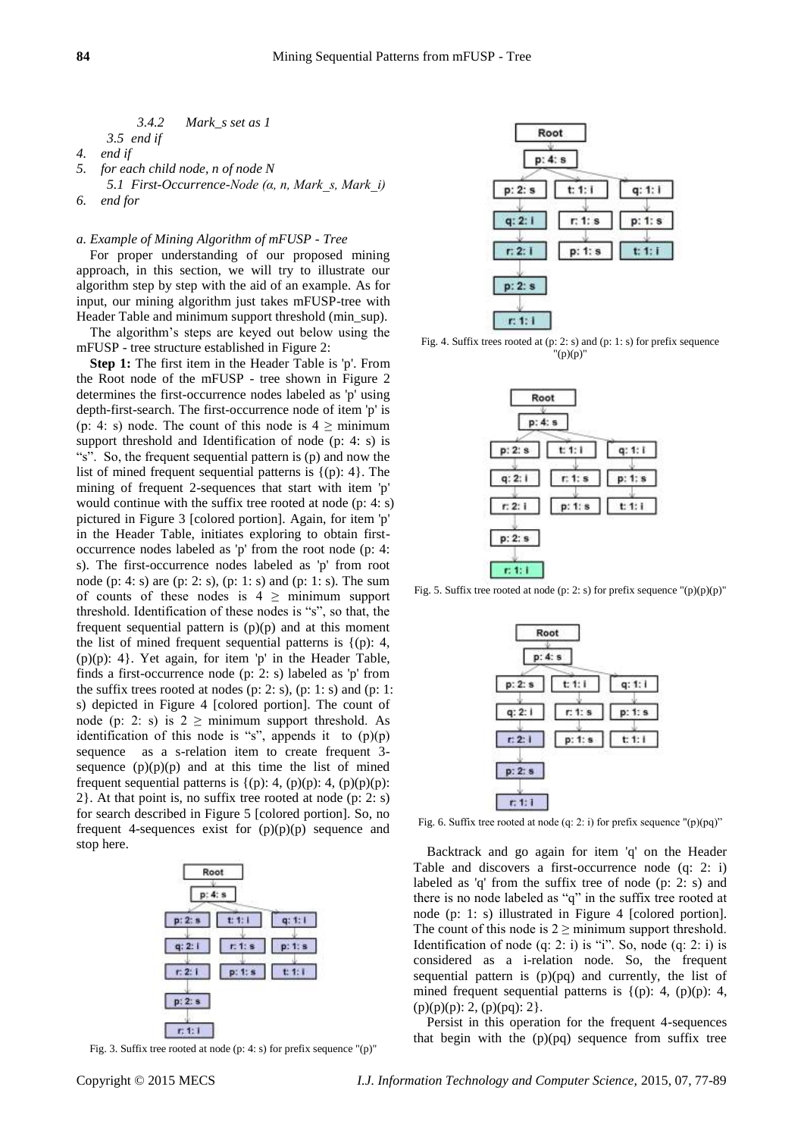$$
3.4.2 \quad \text{Mark\_s set as } 1
$$

*3.5 end if*

- *4. end if 5. for each child node, n of node N*
- *5.1 First-Occurrence-Node (α, n, Mark\_s, Mark\_i) 6. end for*

## *a. Example of Mining Algorithm of mFUSP - Tree*

For proper understanding of our proposed mining approach, in this section, we will try to illustrate our algorithm step by step with the aid of an example. As for input, our mining algorithm just takes mFUSP-tree with Header Table and minimum support threshold (min\_sup).

The algorithm's steps are keyed out below using the mFUSP - tree structure established in Figure 2:

**Step 1:** The first item in the Header Table is 'p'. From the Root node of the mFUSP - tree shown in Figure 2 determines the first-occurrence nodes labeled as 'p' using depth-first-search. The first-occurrence node of item 'p' is (p: 4: s) node. The count of this node is  $4 \geq$  minimum support threshold and Identification of node (p: 4: s) is "s". So, the frequent sequential pattern is (p) and now the list of mined frequent sequential patterns is  $\{(p): 4\}$ . The mining of frequent 2-sequences that start with item 'p' would continue with the suffix tree rooted at node (p: 4: s) pictured in Figure 3 [colored portion]. Again, for item 'p' in the Header Table, initiates exploring to obtain firstoccurrence nodes labeled as 'p' from the root node (p: 4: s). The first-occurrence nodes labeled as 'p' from root node (p: 4: s) are (p: 2: s), (p: 1: s) and (p: 1: s). The sum of counts of these nodes is  $4 \geq$  minimum support threshold. Identification of these nodes is "s", so that, the frequent sequential pattern is  $(p)(p)$  and at this moment the list of mined frequent sequential patterns is  $\{(p): 4,$ (p)(p): 4}. Yet again, for item 'p' in the Header Table, finds a first-occurrence node (p: 2: s) labeled as 'p' from the suffix trees rooted at nodes (p: 2: s), (p: 1: s) and (p: 1: s) depicted in Figure 4 [colored portion]. The count of node (p: 2: s) is  $2 \geq$  minimum support threshold. As identification of this node is "s", appends it to  $(p)(p)$ sequence as a s-relation item to create frequent 3 sequence  $(p)(p)(p)$  and at this time the list of mined frequent sequential patterns is  $\{(p): 4, (p)(p): 4, (p)(p)(p)\}$ : 2}. At that point is, no suffix tree rooted at node (p: 2: s) for search described in Figure 5 [colored portion]. So, no frequent 4-sequences exist for  $(p)(p)(p)$  sequence and stop here.



Fig. 3. Suffix tree rooted at node (p: 4: s) for prefix sequence "(p)"



Fig. 4. Suffix trees rooted at (p: 2: s) and (p: 1: s) for prefix sequence "(p)(p)"



Fig. 5. Suffix tree rooted at node (p: 2: s) for prefix sequence "(p)(p)(p)"



Fig. 6. Suffix tree rooted at node (q: 2: i) for prefix sequence " $(p)(pq)$ "

Backtrack and go again for item 'q' on the Header Table and discovers a first-occurrence node (q: 2: i) labeled as 'q' from the suffix tree of node (p: 2: s) and there is no node labeled as "q" in the suffix tree rooted at node (p: 1: s) illustrated in Figure 4 [colored portion]. The count of this node is  $2 \geq$  minimum support threshold. Identification of node  $(q: 2: i)$  is "i". So, node  $(q: 2: i)$  is considered as a i-relation node. So, the frequent sequential pattern is (p)(pq) and currently, the list of mined frequent sequential patterns is  $\{(p): 4, (p)(p): 4,$  $(p)(p)(p)$ : 2,  $(p)(pq)$ : 2}.

Persist in this operation for the frequent 4-sequences that begin with the (p)(pq) sequence from suffix tree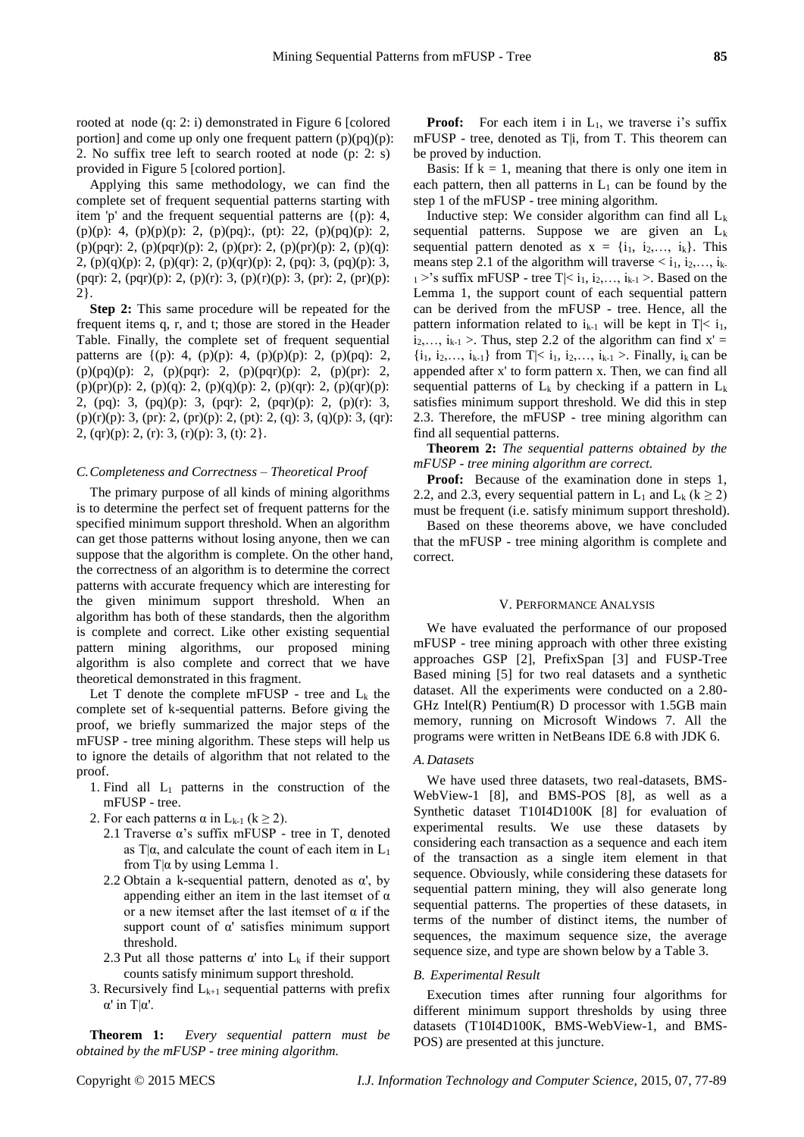rooted at node (q: 2: i) demonstrated in Figure 6 [colored portion] and come up only one frequent pattern  $(p)(pq)(p)$ : 2. No suffix tree left to search rooted at node (p: 2: s) provided in Figure 5 [colored portion].

Applying this same methodology, we can find the complete set of frequent sequential patterns starting with item 'p' and the frequent sequential patterns are {(p): 4, (p)(p): 4, (p)(p)(p): 2, (p)(pq):, (pt): 22, (p)(pq)(p): 2, (p)(pqr): 2, (p)(pqr)(p): 2, (p)(pr): 2, (p)(pr)(p): 2, (p)(q): 2, (p)(q)(p): 2, (p)(qr): 2, (p)(qr)(p): 2, (pq): 3, (pq)(p): 3, (pqr): 2, (pqr)(p): 2, (p)(r): 3, (p)(r)(p): 3, (pr): 2, (pr)(p): 2}.

**Step 2:** This same procedure will be repeated for the frequent items q, r, and t; those are stored in the Header Table. Finally, the complete set of frequent sequential patterns are  $\{(p): 4, (p)(p): 4, (p)(p)(p): 2, (p)(pq): 2,$ (p)(pq)(p): 2, (p)(pqr): 2, (p)(pqr)(p): 2, (p)(pr): 2, (p)(pr)(p): 2, (p)(q): 2, (p)(q)(p): 2, (p)(qr): 2, (p)(qr)(p): 2, (pq): 3, (pq)(p): 3, (pqr): 2, (pqr)(p): 2, (p)(r): 3,  $(p)(r)(p)$ : 3,  $(pr)$ : 2,  $(pr)(p)$ : 2,  $(pt)$ : 2,  $(q)$ : 3,  $(q)(p)$ : 3,  $(qr)$ : 2, (qr)(p): 2, (r): 3, (r)(p): 3, (t): 2}.

#### *C.Completeness and Correctness – Theoretical Proof*

The primary purpose of all kinds of mining algorithms is to determine the perfect set of frequent patterns for the specified minimum support threshold. When an algorithm can get those patterns without losing anyone, then we can suppose that the algorithm is complete. On the other hand, the correctness of an algorithm is to determine the correct patterns with accurate frequency which are interesting for the given minimum support threshold. When an algorithm has both of these standards, then the algorithm is complete and correct. Like other existing sequential pattern mining algorithms, our proposed mining algorithm is also complete and correct that we have theoretical demonstrated in this fragment.

Let T denote the complete mFUSP - tree and  $L_k$  the complete set of k-sequential patterns. Before giving the proof, we briefly summarized the major steps of the mFUSP - tree mining algorithm. These steps will help us to ignore the details of algorithm that not related to the proof.

- 1. Find all  $L_1$  patterns in the construction of the mFUSP - tree.
- 2. For each patterns  $\alpha$  in L<sub>k-1</sub> (k  $\geq$  2).
	- 2.1 Traverse α's suffix mFUSP tree in T, denoted as T| $\alpha$ , and calculate the count of each item in L<sub>1</sub> from  $T|\alpha$  by using Lemma 1.
	- 2.2 Obtain a k-sequential pattern, denoted as  $\alpha'$ , by appending either an item in the last itemset of  $\alpha$ or a new itemset after the last itemset of  $\alpha$  if the support count of α' satisfies minimum support threshold.
	- 2.3 Put all those patterns  $\alpha'$  into  $L_k$  if their support counts satisfy minimum support threshold.
- 3. Recursively find  $L_{k+1}$  sequential patterns with prefix α' in T|α'.

**Theorem 1:** *Every sequential pattern must be obtained by the mFUSP - tree mining algorithm.*

**Proof:** For each item i in  $L_1$ , we traverse i's suffix mFUSP - tree, denoted as T|i, from T. This theorem can be proved by induction.

Basis: If  $k = 1$ , meaning that there is only one item in each pattern, then all patterns in  $L_1$  can be found by the step 1 of the mFUSP - tree mining algorithm.

Inductive step: We consider algorithm can find all  $L_k$ sequential patterns. Suppose we are given an  $L_k$ sequential pattern denoted as  $x = \{i_1, i_2,..., i_k\}$ . This means step 2.1 of the algorithm will traverse  $\langle i_1, i_2, \ldots, i_k \rangle$  $1 >$ 's suffix mFUSP - tree T|< i<sub>1</sub>, i<sub>2</sub>,..., i<sub>k-1</sub> >. Based on the Lemma 1, the support count of each sequential pattern can be derived from the mFUSP - tree. Hence, all the pattern information related to  $i_{k-1}$  will be kept in  $T \le i_1$ ,  $i_2, \ldots, i_{k-1}$  >. Thus, step 2.2 of the algorithm can find  $x' =$  $\{i_1, i_2,..., i_{k-1}\}\$  from  $T \le i_1, i_2,..., i_{k-1} >$ . Finally,  $i_k$  can be appended after x' to form pattern x. Then, we can find all sequential patterns of  $L_k$  by checking if a pattern in  $L_k$ satisfies minimum support threshold. We did this in step 2.3. Therefore, the mFUSP - tree mining algorithm can find all sequential patterns.

**Theorem 2:** *The sequential patterns obtained by the mFUSP - tree mining algorithm are correct.*

**Proof:** Because of the examination done in steps 1, 2.2, and 2.3, every sequential pattern in L<sub>1</sub> and L<sub>k</sub> ( $k \ge 2$ ) must be frequent (i.e. satisfy minimum support threshold).

Based on these theorems above, we have concluded that the mFUSP - tree mining algorithm is complete and correct.

## V. PERFORMANCE ANALYSIS

We have evaluated the performance of our proposed mFUSP - tree mining approach with other three existing approaches GSP [2], PrefixSpan [3] and FUSP-Tree Based mining [5] for two real datasets and a synthetic dataset. All the experiments were conducted on a 2.80- GHz Intel(R) Pentium(R) D processor with 1.5GB main memory, running on Microsoft Windows 7. All the programs were written in NetBeans IDE 6.8 with JDK 6.

#### *A.Datasets*

We have used three datasets, two real-datasets, BMS-WebView-1 [8], and BMS-POS [8], as well as a Synthetic dataset T10I4D100K [8] for evaluation of experimental results. We use these datasets by considering each transaction as a sequence and each item of the transaction as a single item element in that sequence. Obviously, while considering these datasets for sequential pattern mining, they will also generate long sequential patterns. The properties of these datasets, in terms of the number of distinct items, the number of sequences, the maximum sequence size, the average sequence size, and type are shown below by a Table 3.

# *B. Experimental Result*

Execution times after running four algorithms for different minimum support thresholds by using three datasets (T10I4D100K, BMS-WebView-1, and BMS-POS) are presented at this juncture.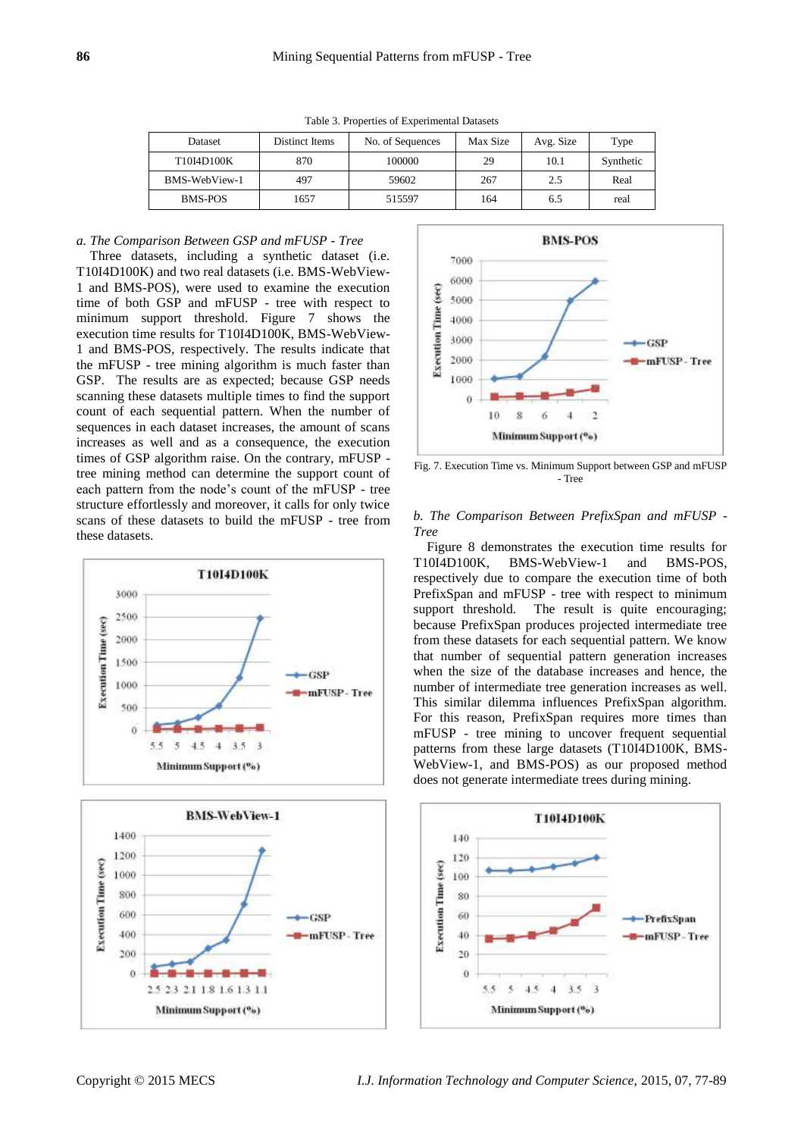| Dataset       | Distinct Items | No. of Sequences | Max Size | Avg. Size | Type      |
|---------------|----------------|------------------|----------|-----------|-----------|
| T10I4D100K    | 870            | 100000           | 29       | 10.1      | Synthetic |
| BMS-WebView-1 | 497            | 59602            | 267      | 2.5       | Real      |
| BMS-POS       | 1657           | 515597           | 164      | 6.5       | real      |

Table 3. Properties of Experimental Datasets

## *a. The Comparison Between GSP and mFUSP - Tree*

Three datasets, including a synthetic dataset (i.e. T10I4D100K) and two real datasets (i.e. BMS-WebView-1 and BMS-POS), were used to examine the execution time of both GSP and mFUSP - tree with respect to minimum support threshold. Figure 7 shows the execution time results for T10I4D100K, BMS-WebView-1 and BMS-POS, respectively. The results indicate that the mFUSP - tree mining algorithm is much faster than GSP. The results are as expected; because GSP needs scanning these datasets multiple times to find the support count of each sequential pattern. When the number of sequences in each dataset increases, the amount of scans increases as well and as a consequence, the execution times of GSP algorithm raise. On the contrary, mFUSP tree mining method can determine the support count of each pattern from the node's count of the mFUSP - tree structure effortlessly and moreover, it calls for only twice scans of these datasets to build the mFUSP - tree from these datasets.







Fig. 7. Execution Time vs. Minimum Support between GSP and mFUSP - Tree

# *b. The Comparison Between PrefixSpan and mFUSP - Tree*

Figure 8 demonstrates the execution time results for T10I4D100K, BMS-WebView-1 and BMS-POS, respectively due to compare the execution time of both PrefixSpan and mFUSP - tree with respect to minimum support threshold. The result is quite encouraging; because PrefixSpan produces projected intermediate tree from these datasets for each sequential pattern. We know that number of sequential pattern generation increases when the size of the database increases and hence, the number of intermediate tree generation increases as well. This similar dilemma influences PrefixSpan algorithm. For this reason, PrefixSpan requires more times than mFUSP - tree mining to uncover frequent sequential patterns from these large datasets (T10I4D100K, BMS-WebView-1, and BMS-POS) as our proposed method does not generate intermediate trees during mining.

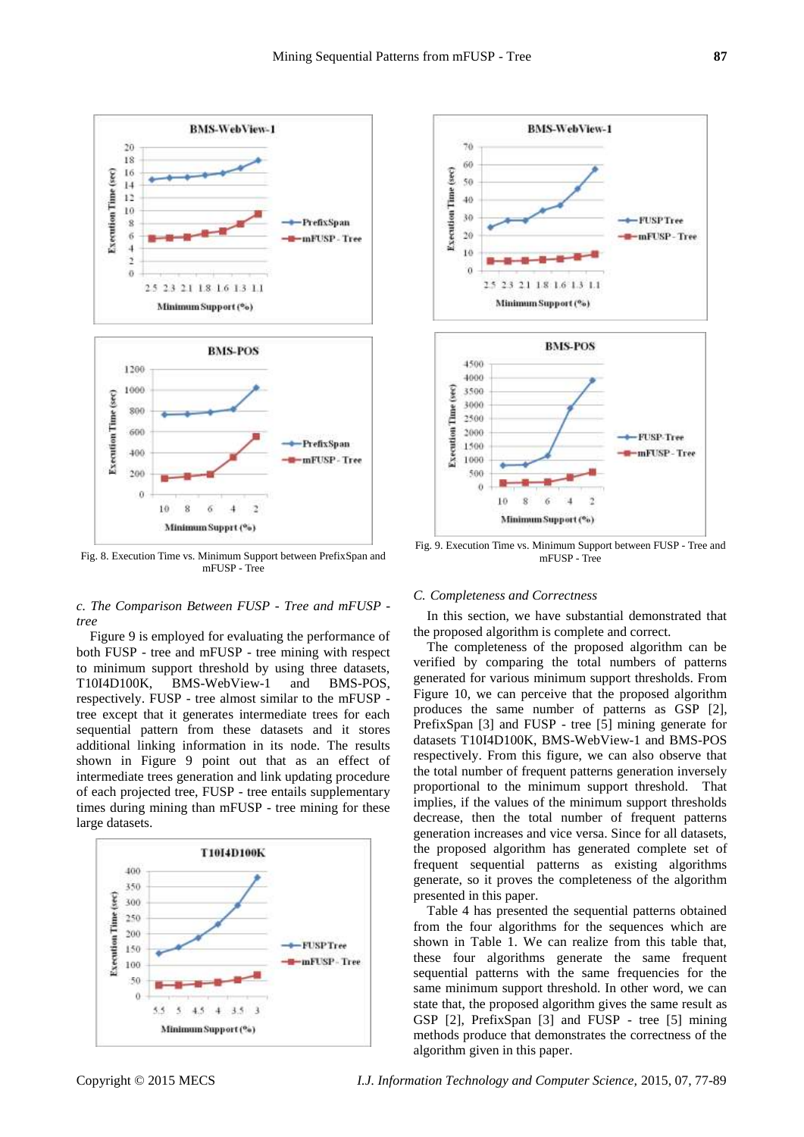

Fig. 8. Execution Time vs. Minimum Support between PrefixSpan and mFUSP - Tree

## *c. The Comparison Between FUSP - Tree and mFUSP tree*

Figure 9 is employed for evaluating the performance of both FUSP - tree and mFUSP - tree mining with respect to minimum support threshold by using three datasets, T10I4D100K, BMS-WebView-1 and BMS-POS, respectively. FUSP - tree almost similar to the mFUSP tree except that it generates intermediate trees for each sequential pattern from these datasets and it stores additional linking information in its node. The results shown in Figure 9 point out that as an effect of intermediate trees generation and link updating procedure of each projected tree, FUSP - tree entails supplementary times during mining than mFUSP - tree mining for these large datasets.





Fig. 9. Execution Time vs. Minimum Support between FUSP - Tree and mFUSP - Tree

## *C. Completeness and Correctness*

In this section, we have substantial demonstrated that the proposed algorithm is complete and correct.

The completeness of the proposed algorithm can be verified by comparing the total numbers of patterns generated for various minimum support thresholds. From Figure 10, we can perceive that the proposed algorithm produces the same number of patterns as GSP [2], PrefixSpan [3] and FUSP - tree [5] mining generate for datasets T10I4D100K, BMS-WebView-1 and BMS-POS respectively. From this figure, we can also observe that the total number of frequent patterns generation inversely proportional to the minimum support threshold. That implies, if the values of the minimum support thresholds decrease, then the total number of frequent patterns generation increases and vice versa. Since for all datasets, the proposed algorithm has generated complete set of frequent sequential patterns as existing algorithms generate, so it proves the completeness of the algorithm presented in this paper.

Table 4 has presented the sequential patterns obtained from the four algorithms for the sequences which are shown in Table 1. We can realize from this table that, these four algorithms generate the same frequent sequential patterns with the same frequencies for the same minimum support threshold. In other word, we can state that, the proposed algorithm gives the same result as GSP [2], PrefixSpan [3] and FUSP - tree [5] mining methods produce that demonstrates the correctness of the algorithm given in this paper.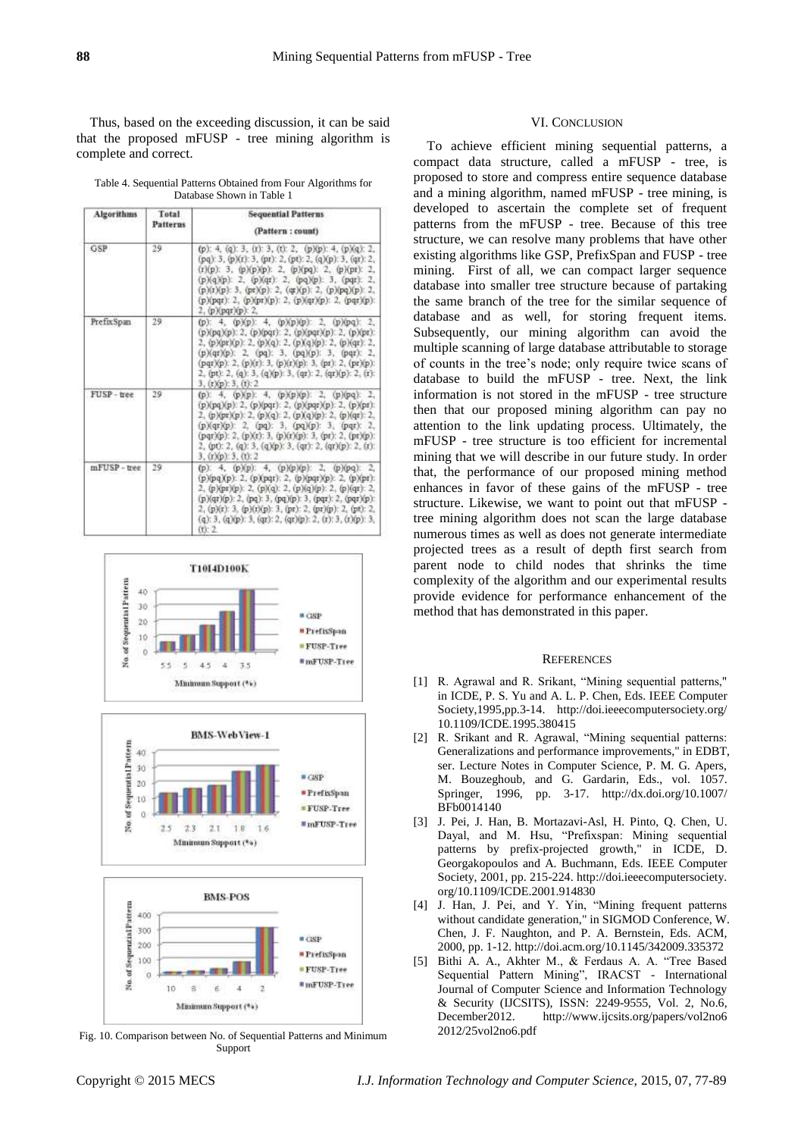Thus, based on the exceeding discussion, it can be said that the proposed mFUSP - tree mining algorithm is complete and correct.

Table 4. Sequential Patterns Obtained from Four Algorithms for Database Shown in Table 1

| Algorithms   | Total<br><b>Patterns</b> | <b>Sequential Patterns</b><br>(Pattern: count)                                                                                                                                                                                                                                                                                                                                                            |
|--------------|--------------------------|-----------------------------------------------------------------------------------------------------------------------------------------------------------------------------------------------------------------------------------------------------------------------------------------------------------------------------------------------------------------------------------------------------------|
| <b>GSP</b>   | 29                       | (p): 4, (q): 3, (r): 3, (t): 2, (p)(p): 4, (p)(q): 2,<br>$(pq)$ : 3, $(p)(r)$ : 3, $(pr)$ : 2, $(pt)$ : 2, $(q)(p)$ : 3, $(qr)$ : 2,<br>$(r)(p)$ : 3, $(p)(p)(p)$ : 2, $(p)(pq)$ : 2, $(p)(pr)$ : 2,<br>(p)(q)(p): 2, (p)(qr): 2, (pq)(p): 3, (pqr): 2,<br>$(p)(r)(p)$ : 3, $(pr)(p)$ : 2, $(qr)(p)$ : 2, $(p)(pq)(p)$ : 2,<br>(p)(pqr): 2, (p)(pr)(p): 2, (p)(qr)(p): 2, (pqr)(p):<br>2. (р)(pqr)(р): 2. |
| PrefixSpan   | 29                       | (p): 4, (p)(p): 4, (p)(p)(p): 2, (p)(pq): 2,<br>(p)(pq)(p): 2, (p)(pqr): 2, (p)(pqr)(p): 2, (p)(pr):<br>2. (p)(pr)(p): 2. (p)(q): 2. (p)(q)(p): 2. (p)(qr): 2.<br>(p)(qr)(p): 2, (pq): 3, (pq)(p): 3, (pqr): 2,<br>(pqr)(p): 2, (p)(r): 3, (p)(r)(p): 3, (pr): 2, (pr)(p):<br>2, (pt): 2, (q): 3, (q)(p): 3, (qr): 2, (qr)(p): 2, (r):<br>$3.$ (r)(p): 3. (t): 2.                                         |
| FUSP-tree    | 29                       | (p): 4, (p)(p): 4, (p)(p)(p): 2, (p)(pq): 2,<br>$(p)(pq)(p)$ : 2, $(p)(pqt)$ : 2, $(p)(pqt)(p)$ : 2, $(p)(pt)$ :<br>2, (p)(pr)(p): 2, (p)(q): 2, (p)(q)(p): 2, (p)(qr): 2,<br>(p)(qr)(p): 2, (pq): 3, (pq)(p): 3, (pqr): 2,<br>(pqr)(p): 2, (p)(r): 3, (p)(r)(p): 3, (pr): 2, (pr)(p):<br>2, (pt): 2, (q): 3, (q)(p): 3, (qr): 2, (qr)(p): 2, (r):<br>3, (t)(p): 3, (t): 2                                |
| mFUSP - tree | 29                       | (p): 4, (p)(p): 4, (p)(p)(p): 2, (p)(pq): 2,<br>$(p)(pq)(p)$ : 2, $(p)(pqr)$ : 2, $(p)(pqr)(p)$ : 2, $(p)(pr)$ :<br>2, (p)(pr)(p): 2, (p)(q): 2, (p)(q)(p): 2, (p)(qr): 2,<br>(p)(qr)(p): 2, (pq): 3, (pq)(p): 3, (pqr): 2, (pqr)(p):<br>2. (p)(r): 3. (p)(r)(p): 3. (pr): 2. (pr)(p): 2. (pt): 2.<br>$(q)$ : 3, $(q)(p)$ : 3, $(qr)$ : 2, $(qr)(p)$ : 2, $(r)$ : 3, $(r)(p)$ : 3,<br>$(11 - 2)$          |







Fig. 10. Comparison between No. of Sequential Patterns and Minimum Support

## VI. CONCLUSION

To achieve efficient mining sequential patterns, a compact data structure, called a mFUSP - tree, is proposed to store and compress entire sequence database and a mining algorithm, named mFUSP - tree mining, is developed to ascertain the complete set of frequent patterns from the mFUSP - tree. Because of this tree structure, we can resolve many problems that have other existing algorithms like GSP, PrefixSpan and FUSP - tree mining. First of all, we can compact larger sequence database into smaller tree structure because of partaking the same branch of the tree for the similar sequence of database and as well, for storing frequent items. Subsequently, our mining algorithm can avoid the multiple scanning of large database attributable to storage of counts in the tree's node; only require twice scans of database to build the mFUSP - tree. Next, the link information is not stored in the mFUSP - tree structure then that our proposed mining algorithm can pay no attention to the link updating process. Ultimately, the mFUSP - tree structure is too efficient for incremental mining that we will describe in our future study. In order that, the performance of our proposed mining method enhances in favor of these gains of the mFUSP - tree structure. Likewise, we want to point out that mFUSP tree mining algorithm does not scan the large database numerous times as well as does not generate intermediate projected trees as a result of depth first search from parent node to child nodes that shrinks the time complexity of the algorithm and our experimental results provide evidence for performance enhancement of the method that has demonstrated in this paper.

## **REFERENCES**

- [1] R. Agrawal and R. Srikant, "Mining sequential patterns," in ICDE, P. S. Yu and A. L. P. Chen, Eds. IEEE Computer Society,1995,pp.3-14. http://doi.ieeecomputersociety.org/ 10.1109/ICDE.1995.380415
- [2] R. Srikant and R. Agrawal, "Mining sequential patterns: Generalizations and performance improvements," in EDBT, ser. Lecture Notes in Computer Science, P. M. G. Apers, M. Bouzeghoub, and G. Gardarin, Eds., vol. 1057. Springer, 1996, pp. 3-17. http://dx.doi.org/10.1007/ BFb0014140
- [3] J. Pei, J. Han, B. Mortazavi-Asl, H. Pinto, Q. Chen, U. Dayal, and M. Hsu, "Prefixspan: Mining sequential patterns by prefix-projected growth," in ICDE, D. Georgakopoulos and A. Buchmann, Eds. IEEE Computer Society, 2001, pp. 215-224. http://doi.ieeecomputersociety. org/10.1109/ICDE.2001.914830
- [4] J. Han, J. Pei, and Y. Yin, "Mining frequent patterns without candidate generation," in SIGMOD Conference, W. Chen, J. F. Naughton, and P. A. Bernstein, Eds. ACM, 2000, pp. 1-12. http://doi.acm.org/10.1145/342009.335372
- [5] Bithi A. A., Akhter M., & Ferdaus A. A. "Tree Based Sequential Pattern Mining", IRACST - International Journal of Computer Science and Information Technology & Security (IJCSITS), ISSN: 2249-9555, Vol. 2, No.6, December2012. http://www.ijcsits.org/papers/vol2no6 2012/25vol2no6.pdf